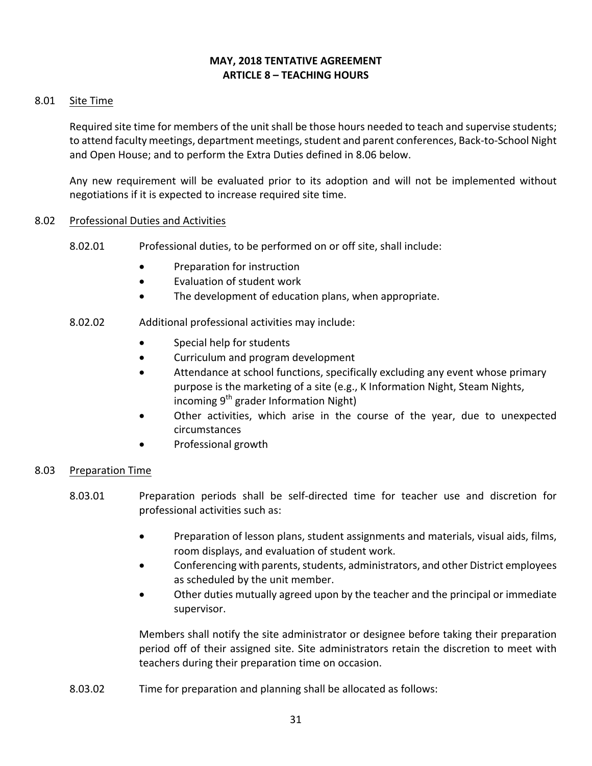## **MAY, 2018 TENTATIVE AGREEMENT ARTICLE 8 – TEACHING HOURS**

## 8.01 Site Time

Required site time for members of the unit shall be those hours needed to teach and supervise students; to attend faculty meetings, department meetings, student and parent conferences, Back-to-School Night and Open House; and to perform the Extra Duties defined in 8.06 below.

Any new requirement will be evaluated prior to its adoption and will not be implemented without negotiations if it is expected to increase required site time.

### 8.02 Professional Duties and Activities

- 8.02.01 Professional duties, to be performed on or off site, shall include:
	- Preparation for instruction
	- Evaluation of student work
	- The development of education plans, when appropriate.
- 8.02.02 Additional professional activities may include:
	- Special help for students
	- Curriculum and program development
	- Attendance at school functions, specifically excluding any event whose primary purpose is the marketing of a site (e.g., K Information Night, Steam Nights, incoming  $9^{th}$  grader Information Night)
	- Other activities, which arise in the course of the year, due to unexpected circumstances
	- Professional growth

### 8.03 Preparation Time

- 8.03.01 Preparation periods shall be self-directed time for teacher use and discretion for professional activities such as:
	- Preparation of lesson plans, student assignments and materials, visual aids, films, room displays, and evaluation of student work.
	- Conferencing with parents, students, administrators, and other District employees as scheduled by the unit member.
	- Other duties mutually agreed upon by the teacher and the principal or immediate supervisor.

Members shall notify the site administrator or designee before taking their preparation period off of their assigned site. Site administrators retain the discretion to meet with teachers during their preparation time on occasion.

8.03.02 Time for preparation and planning shall be allocated as follows: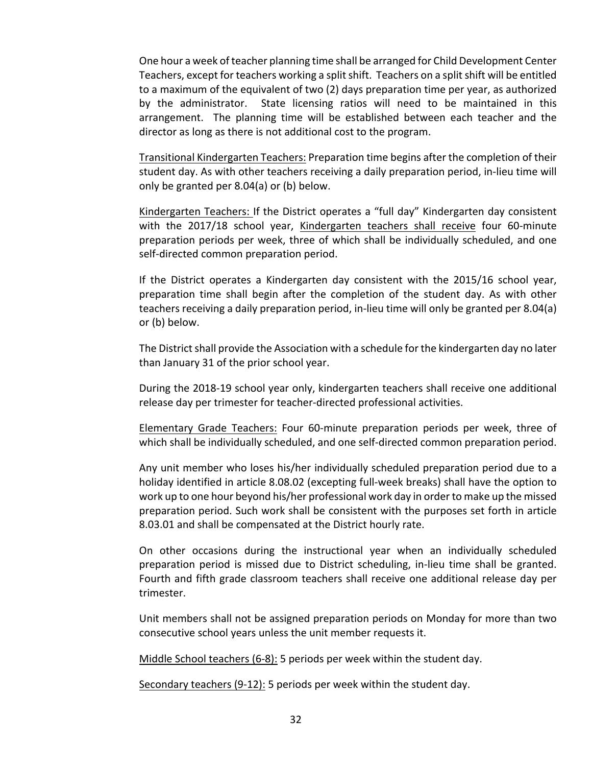One hour a week of teacher planning time shall be arranged for Child Development Center Teachers, except for teachers working a split shift. Teachers on a split shift will be entitled to a maximum of the equivalent of two (2) days preparation time per year, as authorized by the administrator. State licensing ratios will need to be maintained in this arrangement. The planning time will be established between each teacher and the director as long as there is not additional cost to the program.

Transitional Kindergarten Teachers: Preparation time begins after the completion of their student day. As with other teachers receiving a daily preparation period, in-lieu time will only be granted per  $8.04(a)$  or (b) below.

Kindergarten Teachers: If the District operates a "full day" Kindergarten day consistent with the 2017/18 school year, Kindergarten teachers shall receive four 60-minute preparation periods per week, three of which shall be individually scheduled, and one self-directed common preparation period.

If the District operates a Kindergarten day consistent with the 2015/16 school year, preparation time shall begin after the completion of the student day. As with other teachers receiving a daily preparation period, in-lieu time will only be granted per 8.04(a) or (b) below.

The District shall provide the Association with a schedule for the kindergarten day no later than January 31 of the prior school year.

During the 2018-19 school year only, kindergarten teachers shall receive one additional release day per trimester for teacher-directed professional activities.

Elementary Grade Teachers: Four 60-minute preparation periods per week, three of which shall be individually scheduled, and one self-directed common preparation period.

Any unit member who loses his/her individually scheduled preparation period due to a holiday identified in article 8.08.02 (excepting full-week breaks) shall have the option to work up to one hour beyond his/her professional work day in order to make up the missed preparation period. Such work shall be consistent with the purposes set forth in article 8.03.01 and shall be compensated at the District hourly rate.

On other occasions during the instructional year when an individually scheduled preparation period is missed due to District scheduling, in-lieu time shall be granted. Fourth and fifth grade classroom teachers shall receive one additional release day per trimester.

Unit members shall not be assigned preparation periods on Monday for more than two consecutive school years unless the unit member requests it.

Middle School teachers  $(6-8)$ : 5 periods per week within the student day.

Secondary teachers (9-12): 5 periods per week within the student day.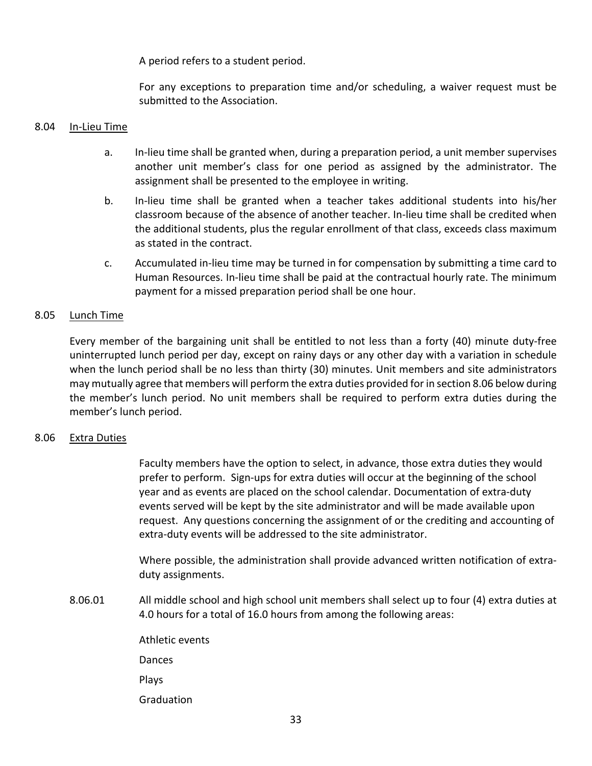A period refers to a student period.

For any exceptions to preparation time and/or scheduling, a waiver request must be submitted to the Association.

### 8.04 In-Lieu Time

- a. In-lieu time shall be granted when, during a preparation period, a unit member supervises another unit member's class for one period as assigned by the administrator. The assignment shall be presented to the employee in writing.
- b. In-lieu time shall be granted when a teacher takes additional students into his/her classroom because of the absence of another teacher. In-lieu time shall be credited when the additional students, plus the regular enrollment of that class, exceeds class maximum as stated in the contract.
- c. Accumulated in-lieu time may be turned in for compensation by submitting a time card to Human Resources. In-lieu time shall be paid at the contractual hourly rate. The minimum payment for a missed preparation period shall be one hour.

## 8.05 Lunch Time

Every member of the bargaining unit shall be entitled to not less than a forty (40) minute duty-free uninterrupted lunch period per day, except on rainy days or any other day with a variation in schedule when the lunch period shall be no less than thirty (30) minutes. Unit members and site administrators may mutually agree that members will perform the extra duties provided for in section 8.06 below during the member's lunch period. No unit members shall be required to perform extra duties during the member's lunch period.

### 8.06 Extra Duties

Faculty members have the option to select, in advance, those extra duties they would prefer to perform. Sign-ups for extra duties will occur at the beginning of the school year and as events are placed on the school calendar. Documentation of extra-duty events served will be kept by the site administrator and will be made available upon request. Any questions concerning the assignment of or the crediting and accounting of extra-duty events will be addressed to the site administrator.

Where possible, the administration shall provide advanced written notification of extraduty assignments.

- 8.06.01 All middle school and high school unit members shall select up to four (4) extra duties at 4.0 hours for a total of 16.0 hours from among the following areas:
	- Athletic events Dances Plays Graduation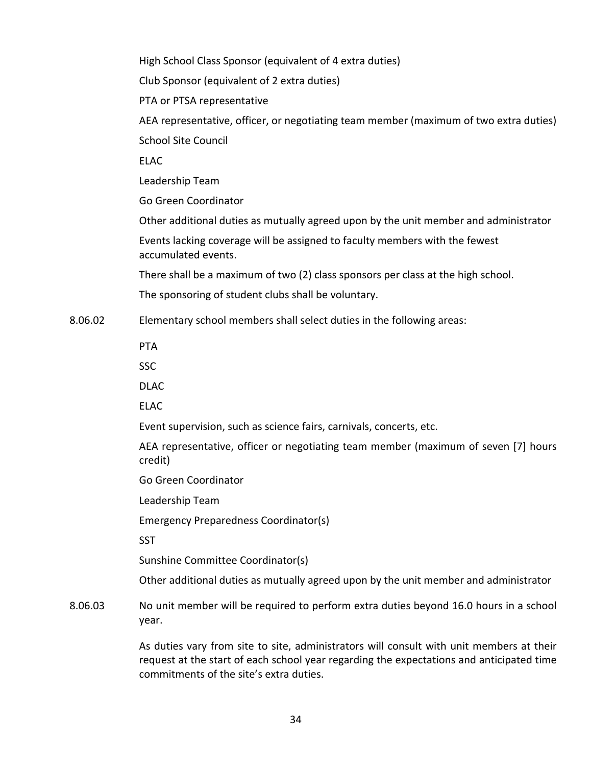High School Class Sponsor (equivalent of 4 extra duties) Club Sponsor (equivalent of 2 extra duties) PTA or PTSA representative AEA representative, officer, or negotiating team member (maximum of two extra duties) School Site Council ELAC Leadership Team Go Green Coordinator Other additional duties as mutually agreed upon by the unit member and administrator Events lacking coverage will be assigned to faculty members with the fewest accumulated events. There shall be a maximum of two (2) class sponsors per class at the high school. The sponsoring of student clubs shall be voluntary. 8.06.02 Elementary school members shall select duties in the following areas: PTA SSC DLAC ELAC Event supervision, such as science fairs, carnivals, concerts, etc. AEA representative, officer or negotiating team member (maximum of seven [7] hours credit) Go Green Coordinator Leadership Team Emergency Preparedness Coordinator(s) **SST** Sunshine Committee Coordinator(s) Other additional duties as mutually agreed upon by the unit member and administrator

8.06.03 No unit member will be required to perform extra duties beyond 16.0 hours in a school year. 

> As duties vary from site to site, administrators will consult with unit members at their request at the start of each school year regarding the expectations and anticipated time commitments of the site's extra duties.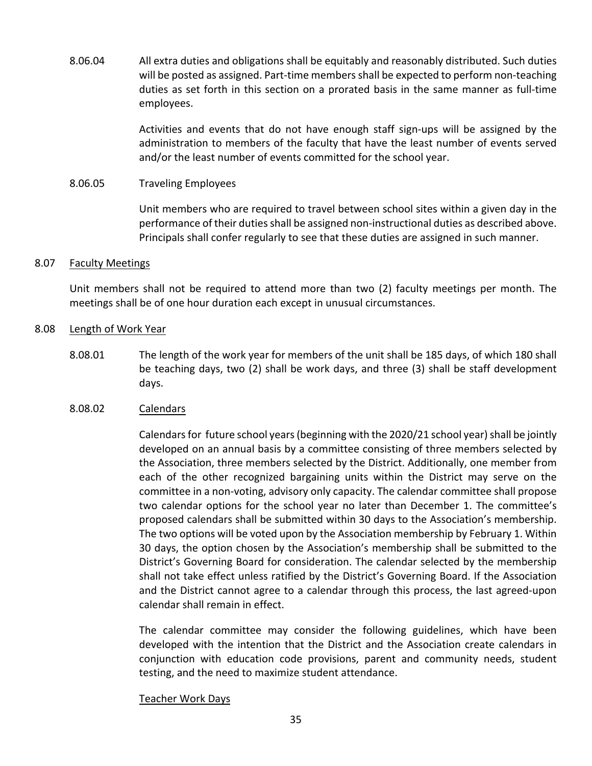8.06.04 All extra duties and obligations shall be equitably and reasonably distributed. Such duties will be posted as assigned. Part-time members shall be expected to perform non-teaching duties as set forth in this section on a prorated basis in the same manner as full-time employees. 

> Activities and events that do not have enough staff sign-ups will be assigned by the administration to members of the faculty that have the least number of events served and/or the least number of events committed for the school year.

#### 8.06.05 Traveling Employees

Unit members who are required to travel between school sites within a given day in the performance of their duties shall be assigned non-instructional duties as described above. Principals shall confer regularly to see that these duties are assigned in such manner.

#### 8.07 Faculty Meetings

Unit members shall not be required to attend more than two (2) faculty meetings per month. The meetings shall be of one hour duration each except in unusual circumstances.

#### 8.08 Length of Work Year

8.08.01 The length of the work year for members of the unit shall be 185 days, of which 180 shall be teaching days, two  $(2)$  shall be work days, and three  $(3)$  shall be staff development days.

### 8.08.02 Calendars

Calendars for future school years (beginning with the 2020/21 school year) shall be jointly developed on an annual basis by a committee consisting of three members selected by the Association, three members selected by the District. Additionally, one member from each of the other recognized bargaining units within the District may serve on the committee in a non-voting, advisory only capacity. The calendar committee shall propose two calendar options for the school year no later than December 1. The committee's proposed calendars shall be submitted within 30 days to the Association's membership. The two options will be voted upon by the Association membership by February 1. Within 30 days, the option chosen by the Association's membership shall be submitted to the District's Governing Board for consideration. The calendar selected by the membership shall not take effect unless ratified by the District's Governing Board. If the Association and the District cannot agree to a calendar through this process, the last agreed-upon calendar shall remain in effect.

The calendar committee may consider the following guidelines, which have been developed with the intention that the District and the Association create calendars in conjunction with education code provisions, parent and community needs, student testing, and the need to maximize student attendance.

#### Teacher Work Days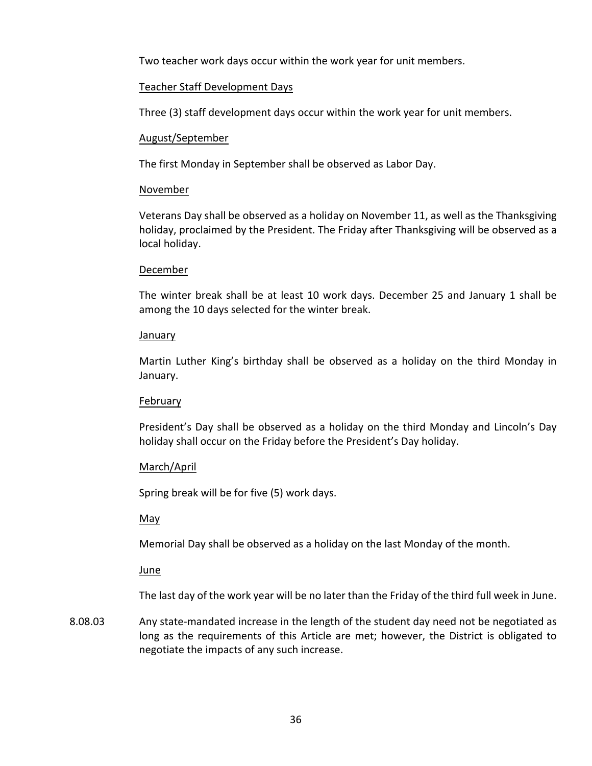Two teacher work days occur within the work year for unit members.

## Teacher Staff Development Days

Three (3) staff development days occur within the work year for unit members.

## August/September

The first Monday in September shall be observed as Labor Day.

## November

Veterans Day shall be observed as a holiday on November 11, as well as the Thanksgiving holiday, proclaimed by the President. The Friday after Thanksgiving will be observed as a local holiday.

## December

The winter break shall be at least 10 work days. December 25 and January 1 shall be among the 10 days selected for the winter break.

### January

Martin Luther King's birthday shall be observed as a holiday on the third Monday in January.

# February

President's Day shall be observed as a holiday on the third Monday and Lincoln's Day holiday shall occur on the Friday before the President's Day holiday.

# March/April

Spring break will be for five (5) work days.

# May

Memorial Day shall be observed as a holiday on the last Monday of the month.

### June

The last day of the work year will be no later than the Friday of the third full week in June.

8.08.03 Any state-mandated increase in the length of the student day need not be negotiated as long as the requirements of this Article are met; however, the District is obligated to negotiate the impacts of any such increase.